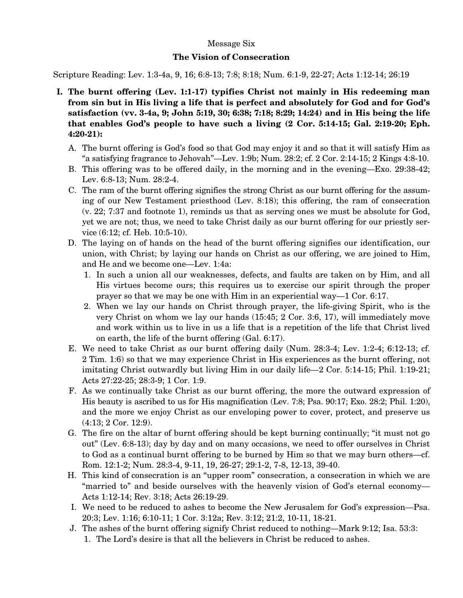## Message Six

## **The Vision of Consecration**

Scripture Reading: Lev. 1:3-4a, 9, 16; 6:8-13; 7:8; 8:18; Num. 6:1-9, 22-27; Acts 1:12-14; 26:19

- **I. The burnt offering (Lev. 1:1-17) typifies Christ not mainly in His redeeming man from sin but in His living a life that is perfect and absolutely for God and for God's satisfaction (vv. 3-4a, 9; John 5:19, 30; 6:38; 7:18; 8:29; 14:24) and in His being the life that enables God's people to have such a living (2 Cor. 5:14-15; Gal. 2:19-20; Eph. 4:20-21):** 
	- A. The burnt offering is God's food so that God may enjoy it and so that it will satisfy Him as "a satisfying fragrance to Jehovah"—Lev. 1:9b; Num. 28:2; cf. 2 Cor. 2:14-15; 2 Kings 4:8-10.
	- B. This offering was to be offered daily, in the morning and in the evening—Exo. 29:38-42; Lev. 6:8-13; Num. 28:2-4.
	- C. The ram of the burnt offering signifies the strong Christ as our burnt offering for the assuming of our New Testament priesthood (Lev. 8:18); this offering, the ram of consecration (v. 22; 7:37 and footnote 1), reminds us that as serving ones we must be absolute for God, yet we are not; thus, we need to take Christ daily as our burnt offering for our priestly service (6:12; cf. Heb. 10:5-10).
	- D. The laying on of hands on the head of the burnt offering signifies our identification, our union, with Christ; by laying our hands on Christ as our offering, we are joined to Him, and He and we become one—Lev. 1:4a:
		- 1. In such a union all our weaknesses, defects, and faults are taken on by Him, and all His virtues become ours; this requires us to exercise our spirit through the proper prayer so that we may be one with Him in an experiential way—1 Cor. 6:17.
		- 2. When we lay our hands on Christ through prayer, the life-giving Spirit, who is the very Christ on whom we lay our hands (15:45; 2 Cor. 3:6, 17), will immediately move and work within us to live in us a life that is a repetition of the life that Christ lived on earth, the life of the burnt offering (Gal. 6:17).
	- E. We need to take Christ as our burnt offering daily (Num. 28:3-4; Lev. 1:2-4; 6:12-13; cf. 2 Tim. 1:6) so that we may experience Christ in His experiences as the burnt offering, not imitating Christ outwardly but living Him in our daily life—2 Cor. 5:14-15; Phil. 1:19-21; Acts 27:22-25; 28:3-9; 1 Cor. 1:9.
	- F. As we continually take Christ as our burnt offering, the more the outward expression of His beauty is ascribed to us for His magnification (Lev. 7:8; Psa. 90:17; Exo. 28:2; Phil. 1:20), and the more we enjoy Christ as our enveloping power to cover, protect, and preserve us (4:13; 2 Cor. 12:9).
	- G. The fire on the altar of burnt offering should be kept burning continually; "it must not go out" (Lev. 6:8-13); day by day and on many occasions, we need to offer ourselves in Christ to God as a continual burnt offering to be burned by Him so that we may burn others—cf. Rom. 12:1-2; Num. 28:3-4, 9-11, 19, 26-27; 29:1-2, 7-8, 12-13, 39-40.
	- H. This kind of consecration is an "upper room" consecration, a consecration in which we are "married to" and beside ourselves with the heavenly vision of God's eternal economy— Acts 1:12-14; Rev. 3:18; Acts 26:19-29.
	- I. We need to be reduced to ashes to become the New Jerusalem for God's expression—Psa. 20:3; Lev. 1:16; 6:10-11; 1 Cor. 3:12a; Rev. 3:12; 21:2, 10-11, 18-21.
	- J. The ashes of the burnt offering signify Christ reduced to nothing—Mark 9:12; Isa. 53:3: 1. The Lord's desire is that all the believers in Christ be reduced to ashes.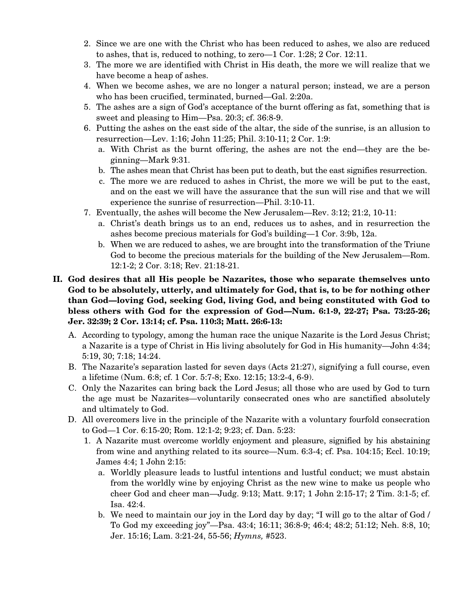- 2. Since we are one with the Christ who has been reduced to ashes, we also are reduced to ashes, that is, reduced to nothing, to zero—1 Cor. 1:28; 2 Cor. 12:11.
- 3. The more we are identified with Christ in His death, the more we will realize that we have become a heap of ashes.
- 4. When we become ashes, we are no longer a natural person; instead, we are a person who has been crucified, terminated, burned—Gal. 2:20a.
- 5. The ashes are a sign of God's acceptance of the burnt offering as fat, something that is sweet and pleasing to Him—Psa. 20:3; cf. 36:8-9.
- 6. Putting the ashes on the east side of the altar, the side of the sunrise, is an allusion to resurrection—Lev. 1:16; John 11:25; Phil. 3:10-11; 2 Cor. 1:9:
	- a. With Christ as the burnt offering, the ashes are not the end—they are the beginning—Mark 9:31.
	- b. The ashes mean that Christ has been put to death, but the east signifies resurrection.
	- c. The more we are reduced to ashes in Christ, the more we will be put to the east, and on the east we will have the assurance that the sun will rise and that we will experience the sunrise of resurrection—Phil. 3:10-11.
- 7. Eventually, the ashes will become the New Jerusalem—Rev. 3:12; 21:2, 10-11:
	- a. Christ's death brings us to an end, reduces us to ashes, and in resurrection the ashes become precious materials for God's building—1 Cor. 3:9b, 12a.
	- b. When we are reduced to ashes, we are brought into the transformation of the Triune God to become the precious materials for the building of the New Jerusalem—Rom. 12:1-2; 2 Cor. 3:18; Rev. 21:18-21.

## **II. God desires that all His people be Nazarites, those who separate themselves unto God to be absolutely, utterly, and ultimately for God, that is, to be for nothing other than God—loving God, seeking God, living God, and being constituted with God to bless others with God for the expression of God—Num. 6:1-9, 22-27; Psa. 73:25-26; Jer. 32:39; 2 Cor. 13:14; cf. Psa. 110:3; Matt. 26:6-13:**

- A. According to typology, among the human race the unique Nazarite is the Lord Jesus Christ; a Nazarite is a type of Christ in His living absolutely for God in His humanity—John 4:34; 5:19, 30; 7:18; 14:24.
- B. The Nazarite's separation lasted for seven days (Acts 21:27), signifying a full course, even a lifetime (Num. 6:8; cf. 1 Cor. 5:7-8; Exo. 12:15; 13:2-4, 6-9).
- C. Only the Nazarites can bring back the Lord Jesus; all those who are used by God to turn the age must be Nazarites—voluntarily consecrated ones who are sanctified absolutely and ultimately to God.
- D. All overcomers live in the principle of the Nazarite with a voluntary fourfold consecration to God—1 Cor. 6:15-20; Rom. 12:1-2; 9:23; cf. Dan. 5:23:
	- 1. A Nazarite must overcome worldly enjoyment and pleasure, signified by his abstaining from wine and anything related to its source—Num. 6:3-4; cf. Psa. 104:15; Eccl. 10:19; James 4:4; 1 John 2:15:
		- a. Worldly pleasure leads to lustful intentions and lustful conduct; we must abstain from the worldly wine by enjoying Christ as the new wine to make us people who cheer God and cheer man—Judg. 9:13; Matt. 9:17; 1 John 2:15-17; 2 Tim. 3:1-5; cf. Isa. 42:4.
		- b. We need to maintain our joy in the Lord day by day; "I will go to the altar of God / To God my exceeding joy"—Psa. 43:4; 16:11; 36:8-9; 46:4; 48:2; 51:12; Neh. 8:8, 10; Jer. 15:16; Lam. 3:21-24, 55-56; *Hymns,* #523.